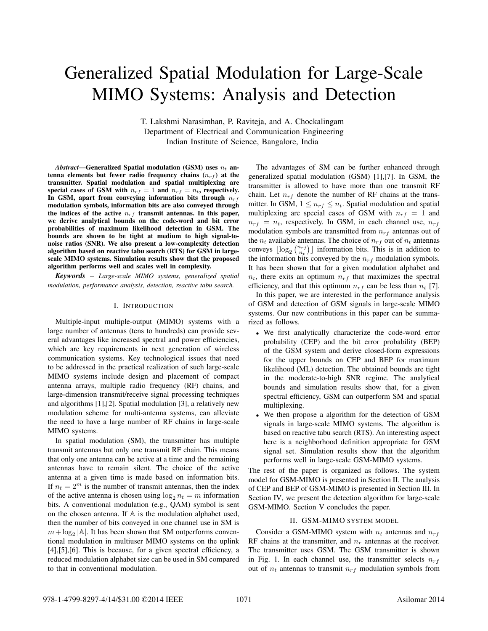# Generalized Spatial Modulation for Large-Scale MIMO Systems: Analysis and Detection

T. Lakshmi Narasimhan, P. Raviteja, and A. Chockalingam Department of Electrical and Communication Engineering Indian Institute of Science, Bangalore, India

*Abstract*—Generalized Spatial modulation (GSM) uses  $n_t$  antenna elements but fewer radio frequency chains  $(n_{rf})$  at the transmitter. Spatial modulation and spatial multiplexing are special cases of GSM with  $n_{rf} = 1$  and  $n_{rf} = n_t$ , respectively. In GSM, apart from conveying information bits through  $n_{rf}$ modulation symbols, information bits are also conveyed through the indices of the active  $n_{rf}$  transmit antennas. In this paper, we derive analytical bounds on the code-word and bit error probabilities of maximum likelihood detection in GSM. The bounds are shown to be tight at medium to high signal-tonoise ratios (SNR). We also present a low-complexity detection algorithm based on reactive tabu search (RTS) for GSM in largescale MIMO systems. Simulation results show that the proposed algorithm performs well and scales well in complexity.

*Keywords* – *Large-scale MIMO systems, generalized spatial modulation, performance analysis, detection, reactive tabu search.*

#### I. INTRODUCTION

Multiple-input multiple-output (MIMO) systems with a large number of antennas (tens to hundreds) can provide several advantages like increased spectral and power efficiencies, which are key requirements in next generation of wireless communication systems. Key technological issues that need to be addressed in the practical realization of such large-scale MIMO systems include design and placement of compact antenna arrays, multiple radio frequency (RF) chains, and large-dimension transmit/receive signal processing techniques and algorithms [1],[2]. Spatial modulation [3], a relatively new modulation scheme for multi-antenna systems, can alleviate the need to have a large number of RF chains in large-scale MIMO systems.

In spatial modulation (SM), the transmitter has multiple transmit antennas but only one transmit RF chain. This means that only one antenna can be active at a time and the remaining antennas have to remain silent. The choice of the active antenna at a given time is made based on information bits. If  $n_t = 2^m$  is the number of transmit antennas, then the index of the active antenna is chosen using  $\log_2 n_t = m$  information bits. A conventional modulation (e.g., QAM) symbol is sent on the chosen antenna. If  $A$  is the modulation alphabet used, then the number of bits conveyed in one channel use in SM is  $m + \log_2 |\mathbb{A}|$ . It has been shown that SM outperforms conventional modulation in multiuser MIMO systems on the uplink [4],[5],[6]. This is because, for a given spectral efficiency, a reduced modulation alphabet size can be used in SM compared to that in conventional modulation.

The advantages of SM can be further enhanced through generalized spatial modulation (GSM) [1],[7]. In GSM, the transmitter is allowed to have more than one transmit RF chain. Let  $n_{rf}$  denote the number of RF chains at the transmitter. In GSM,  $1 \leq n_{rf} \leq n_t$ . Spatial modulation and spatial multiplexing are special cases of GSM with  $n_{rf} = 1$  and  $n_{rf} = n_t$ , respectively. In GSM, in each channel use,  $n_{rf}$ modulation symbols are transmitted from  $n_{rf}$  antennas out of the  $n_t$  available antennas. The choice of  $n_{rf}$  out of  $n_t$  antennas conveys  $\lfloor \log_2 \binom{n_{rf}}{n_t} \rfloor$  information bits. This is in addition to the information bits conveyed by the  $n_{rf}$  modulation symbols. It has been shown that for a given modulation alphabet and  $n_t$ , there exits an optimum  $n_{rf}$  that maximizes the spectral efficiency, and that this optimum  $n_{rf}$  can be less than  $n_t$  [7].

In this paper, we are interested in the performance analysis of GSM and detection of GSM signals in large-scale MIMO systems. Our new contributions in this paper can be summarized as follows.

- We first analytically characterize the code-word error probability (CEP) and the bit error probability (BEP) of the GSM system and derive closed-form expressions for the upper bounds on CEP and BEP for maximum likelihood (ML) detection. The obtained bounds are tight in the moderate-to-high SNR regime. The analytical bounds and simulation results show that, for a given spectral efficiency, GSM can outperform SM and spatial multiplexing.
- We then propose a algorithm for the detection of GSM signals in large-scale MIMO systems. The algorithm is based on reactive tabu search (RTS). An interesting aspect here is a neighborhood definition appropriate for GSM signal set. Simulation results show that the algorithm performs well in large-scale GSM-MIMO systems.

The rest of the paper is organized as follows. The system model for GSM-MIMO is presented in Section II. The analysis of CEP and BEP of GSM-MIMO is presented in Section III. In Section IV, we present the detection algorithm for large-scale GSM-MIMO. Section V concludes the paper.

# II. GSM-MIMO SYSTEM MODEL

Consider a GSM-MIMO system with  $n_t$  antennas and  $n_{rf}$ RF chains at the transmitter, and  $n_r$  antennas at the receiver. The transmitter uses GSM. The GSM transmitter is shown in Fig. 1. In each channel use, the transmitter selects  $n_{rf}$ out of  $n_t$  antennas to transmit  $n_{rf}$  modulation symbols from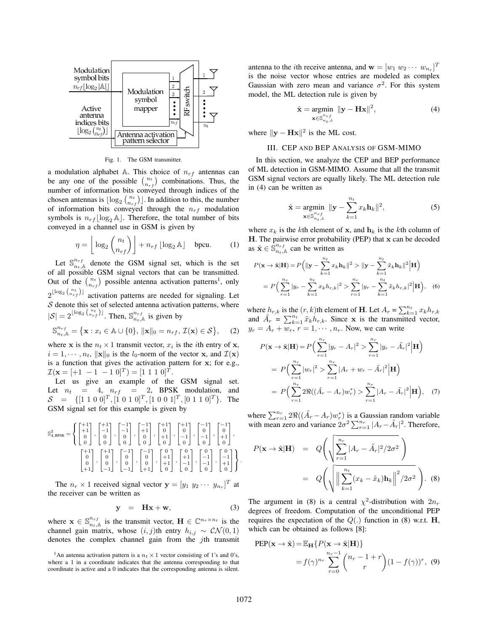

Fig. 1. The GSM transmitter.

a modulation alphabet A. This choice of  $n_{rf}$  antennas can be any one of the possible  $\binom{n_t}{n_{rf}}$  combinations. Thus, the number of information bits conveyed through indices of the chosen antennas is  $\lfloor \log_2 {n_t \choose n_{rf}} \rfloor$ . In addition to this, the number of information bits conveyed through the  $n_{rf}$  modulation symbols is  $n_{rf}$   $\log_2 A$ . Therefore, the total number of bits conveyed in a channel use in GSM is given by

$$
\eta = \left\lfloor \log_2 \binom{n_t}{n_{rf}} \right\rfloor + n_{rf} \lfloor \log_2 \mathbb{A} \rfloor \quad \text{bpcu.} \tag{1}
$$

Let  $\mathbb{S}_{n_t,\mathbb{A}}^{n_{rf}}$  denote the GSM signal set, which is the set of all possible GSM signal vectors that can be transmitted. Out of the  $\binom{n_t}{n_{rf}}$  possible antenna activation patterns<sup>1</sup>, only  $2^{\lfloor \log_2 \binom{n_t}{n_{rf}} \rfloor}$  activation patterns are needed for signaling. Let  $S$  denote this set of selected antenna activation patterns, where  $|\mathcal{S}| = 2^{\lfloor \log_2 {n_t \choose n_{rf}} \rfloor}$ . Then,  $\mathbb{S}_{n_t,\mathbb{A}}^{n_{rf}}$  is given by

$$
\mathbb{S}_{n_t,\mathbb{A}}^{n_{rf}} = \{ \mathbf{x} : x_i \in \mathbb{A} \cup \{0\}, \, \|\mathbf{x}\|_0 = n_{rf}, \, \mathcal{I}(\mathbf{x}) \in \mathcal{S} \}, \qquad (2)
$$

where **x** is the  $n_t \times 1$  transmit vector,  $x_i$  is the *i*th entry of **x**,  $i = 1, \dots, n_t$ ,  $\|\mathbf{x}\|_0$  is the  $l_0$ -norm of the vector x, and  $\mathcal{I}(\mathbf{x})$ is a function that gives the activation pattern for x; for e.g.,  $\mathcal{I}(\mathbf{x} = [+1 \ -1 \ -1 \ 0]^T) = [1 \ 1 \ 1 \ 0]^T.$ 

Let us give an example of the GSM signal set. Let  $n_t = 4$ ,  $n_{rf} = 2$ , BPSK modulation, and  $S = \{ [1\ 1\ 0\ 0]^T, [1\ 0\ 1\ 0]^T, [1\ 0\ 0\ 1]^T, [0\ 1\ 1\ 0]^T \}.$  The GSM signal set for this example is given by

$$
\mathbb{S}^2_{4,\text{BPSK}} = \left\{ \begin{bmatrix} +1 \\ +1 \\ 0 \\ 0 \end{bmatrix}, \begin{bmatrix} +1 \\ -1 \\ 0 \\ 0 \end{bmatrix}, \begin{bmatrix} -1 \\ -1 \\ 0 \\ 0 \end{bmatrix}, \begin{bmatrix} -1 \\ +1 \\ 0 \\ 0 \end{bmatrix}, \begin{bmatrix} +1 \\ 0 \\ 0 \\ 0 \end{bmatrix}, \begin{bmatrix} +1 \\ 0 \\ -1 \\ 0 \end{bmatrix}, \begin{bmatrix} +1 \\ 0 \\ -1 \\ 0 \end{bmatrix}, \begin{bmatrix} -1 \\ -1 \\ 0 \\ -1 \end{bmatrix}, \begin{bmatrix} 0 \\ -1 \\ -1 \\ 0 \end{bmatrix}, \begin{bmatrix} 0 \\ -1 \\ -1 \\ 0 \end{bmatrix}, \begin{bmatrix} 0 \\ -1 \\ -1 \\ 0 \end{bmatrix}, \begin{bmatrix} 0 \\ -1 \\ -1 \\ 0 \end{bmatrix}, \begin{bmatrix} 0 \\ -1 \\ -1 \\ 0 \end{bmatrix}, \begin{bmatrix} 0 \\ -1 \\ +1 \\ 0 \end{bmatrix} \right\}
$$

The  $n_r \times 1$  received signal vector  $\mathbf{y} = \begin{bmatrix} y_1 & y_2 & \cdots & y_{n_r} \end{bmatrix}^T$  at the receiver can be written as

$$
y = Hx + w, \qquad (3)
$$

where  $\mathbf{x} \in \mathbb{S}_{n_t,\mathbb{A}}^{n_{rf}}$  is the transmit vector,  $\mathbf{H} \in \mathbb{C}^{n_r \times n_t}$  is the channel gain matrix, whose  $(i, j)$ th entry  $h_{i,j} \sim \mathcal{CN}(0, 1)$ denotes the complex channel gain from the jth transmit

antenna to the *i*th receive antenna, and  $\mathbf{w} = [w_1 \ w_2 \ \cdots \ w_{n_r}]^T$ is the noise vector whose entries are modeled as complex Gaussian with zero mean and variance  $\sigma^2$ . For this system model, the ML detection rule is given by

$$
\hat{\mathbf{x}} = \underset{\mathbf{x} \in \mathbb{S}_{n_t,\mathbb{A}}^{n_{rf}}}{\text{argmin}} \ \|\mathbf{y} - \mathbf{H}\mathbf{x}\|^2, \tag{4}
$$

where  $\|\mathbf{y} - \mathbf{H}\mathbf{x}\|^2$  is the ML cost.

# III. CEP AND BEP ANALYSIS OF GSM-MIMO

In this section, we analyze the CEP and BEP performance of ML detection in GSM-MIMO. Assume that all the transmit GSM signal vectors are equally likely. The ML detection rule in (4) can be written as

$$
\hat{\mathbf{x}} = \underset{\mathbf{x} \in \mathbb{S}_{n_t,k}^{n_{rf}}}{\operatorname{argmin}} \ \|\mathbf{y} - \sum_{k=1}^{n_t} x_k \mathbf{h}_k\|^2, \tag{5}
$$

where  $x_k$  is the kth element of x, and  $h_k$  is the kth column of  $H$ . The pairwise error probability (PEP) that  $x$  can be decoded as  $\tilde{\mathbf{x}} \in \mathbb{S}_{n_t,\mathbb{A}}^{n_{rf}}$  can be written as

$$
P(\mathbf{x} \to \tilde{\mathbf{x}} | \mathbf{H}) = P\left( \|\mathbf{y} - \sum_{k=1}^{n_t} x_k \mathbf{h}_k \|^2 > \|\mathbf{y} - \sum_{k=1}^{n_t} \tilde{x}_k \mathbf{h}_k \|^2 \Big| \mathbf{H} \right)
$$
  
= 
$$
P\left( \sum_{r=1}^{n_r} |y_r - \sum_{k=1}^{n_t} x_k h_{r,k} |^2 > \sum_{r=1}^{n_r} |y_r - \sum_{k=1}^{n_t} \tilde{x}_k h_{r,k} |^2 \Big| \mathbf{H} \right), \quad (6)
$$

where  $h_{r,k}$  is the  $(r, k)$ th element of **H**. Let  $A_r = \sum_{k=1}^{n_t} x_k h_{r,k}$ and  $\tilde{A}_r = \sum_{k=1}^{n_t} \tilde{x}_k h_{r,k}$ . Since x is the transmitted vector,  $y_r = A_r + w_r$ ,  $r = 1, \dots, n_r$ . Now, we can write

$$
P(\mathbf{x} \to \tilde{\mathbf{x}} | \mathbf{H}) = P\Big(\sum_{r=1}^{n_r} |y_r - A_r|^2 > \sum_{r=1}^{n_r} |y_r - \tilde{A}_r|^2 \Big| \mathbf{H}\Big)
$$
  
=  $P\Big(\sum_{r=1}^{n_r} |w_r|^2 > \sum_{r=1}^{n_r} |A_r + w_r - \tilde{A}_r|^2 \Big| \mathbf{H}\Big)$   
=  $P\Big(\sum_{r=1}^{n_r} 2\Re((\tilde{A}_r - A_r)w_r^*) > \sum_{r=1}^{n_r} |A_r - \tilde{A}_r|^2 \Big| \mathbf{H}\Big), \quad (7)$ 

where  $\sum_{r=1}^{n_r} 2\Re((\tilde{A}_r - A_r)w_r^*)$  is a Gaussian random variable with mean zero and variance  $2\sigma^2 \sum_{r=1}^{n_r} |A_r - \tilde{A}_r|^2$ . Therefore,

$$
P(\mathbf{x} \to \tilde{\mathbf{x}}|\mathbf{H}) = Q\left(\sqrt{\sum_{r=1}^{n_r} |A_r - \tilde{A}_r|^2 / 2\sigma^2}\right)
$$

$$
= Q\left(\sqrt{\left\|\sum_{k=1}^{n_t} (x_k - \tilde{x}_k)\mathbf{h}_k\right\|^2 / 2\sigma^2}\right). (8)
$$

The argument in (8) is a central  $\chi^2$ -distribution with  $2n_r$ degrees of freedom. Computation of the unconditional PEP requires the expectation of the  $Q(.)$  function in (8) w.r.t. **H**, which can be obtained as follows [8]:

PEP(
$$
\mathbf{x} \to \tilde{\mathbf{x}}
$$
) =  $\mathbb{E}_{\mathbf{H}} \{ P(\mathbf{x} \to \tilde{\mathbf{x}} | \mathbf{H}) \}$   
=  $f(\gamma)^{n_r} \sum_{r=0}^{n_r-1} {n_r - 1 + r \choose r} (1 - f(\gamma))^r$ , (9)

.

<sup>&</sup>lt;sup>1</sup>An antenna activation pattern is a  $n_t \times 1$  vector consisting of 1's and 0's, where a 1 in a coordinate indicates that the antenna corresponding to that coordinate is active and a 0 indicates that the corresponding antenna is silent.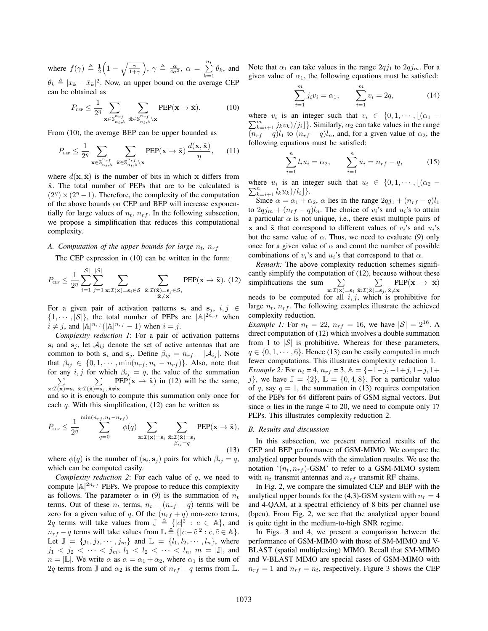where  $f(\gamma) \triangleq \frac{1}{2} \left( 1 - \sqrt{\frac{\gamma}{1+\gamma}} \right), \ \gamma \triangleq \frac{\alpha}{4\sigma^2}, \ \alpha = \sum_{n=1}^{\infty} \frac{1}{n^2}$  $\sum_{k=1} \theta_k$ , and  $\theta_k \triangleq |x_k - \tilde{x}_k|^2$ . Now, an upper bound on the average CEP can be obtained as

$$
P_{\text{CEP}} \leq \frac{1}{2\eta} \sum_{\mathbf{x} \in \mathbb{S}_{n_t,\mathbb{A}}^{n_{rf}}} \sum_{\tilde{\mathbf{x}} \in \mathbb{S}_{n_t,\mathbb{A}}^{n_{rf}} \setminus \mathbf{x}} \text{PEP}(\mathbf{x} \to \tilde{\mathbf{x}}).
$$
 (10)

From (10), the average BEP can be upper bounded as

$$
P_{\text{BEP}} \leq \frac{1}{2^{\eta}} \sum_{\mathbf{x} \in \mathbb{S}_{n_t,\mathbb{A}}^{n_{rf}}} \sum_{\tilde{\mathbf{x}} \in \mathbb{S}_{n_t,\mathbb{A}}^{n_{rf}} \setminus \mathbf{x}} \text{PEP}(\mathbf{x} \to \tilde{\mathbf{x}}) \frac{d(\mathbf{x}, \tilde{\mathbf{x}})}{\eta}, \qquad (11)
$$

where  $d(\mathbf{x}, \tilde{\mathbf{x}})$  is the number of bits in which x differs from  $\tilde{x}$ . The total number of PEPs that are to be calculated is  $(2<sup>\eta</sup>) \times (2<sup>\eta</sup> - 1)$ . Therefore, the complexity of the computation of the above bounds on CEP and BEP will increase exponentially for large values of  $n_t$ ,  $n_{rf}$ . In the following subsection, we propose a simplification that reduces this computational complexity.

#### *A. Computation of the upper bounds for large*  $n_t$ ,  $n_{rf}$

The CEP expression in (10) can be written in the form:

$$
P_{\text{CEP}} \leq \frac{1}{2\eta} \sum_{i=1}^{|\mathcal{S}|} \sum_{j=1}^{|\mathcal{S}|} \sum_{\mathbf{x}: \mathcal{I}(\mathbf{x}) = \mathbf{s}_i \in \mathcal{S}} \sum_{\substack{\tilde{\mathbf{x}}: \mathcal{I}(\tilde{\mathbf{x}}) = \mathbf{s}_j \in \mathcal{S}, \\ \tilde{\mathbf{x}} \neq \mathbf{x}}} \text{PEP}(\mathbf{x} \to \tilde{\mathbf{x}}). (12)
$$

For a given pair of activation patterns  $s_i$  and  $s_j$ ,  $i, j \in$  $\{1, \dots, |\mathcal{S}|\}$ , the total number of PEPs are  $|\mathbb{A}|^{2n_{rf}}$  when  $i \neq j$ , and  $|\mathbb{A}|^{n_{rf}}(|\mathbb{A}|^{n_{rf}}-1)$  when  $i = j$ .

*Complexity reduction 1*: For a pair of activation patterns  $s_i$  and  $s_j$ , let  $A_{ij}$  denote the set of active antennas that are common to both  $s_i$  and  $s_j$ . Define  $\beta_{ij} = n_{rf} - |\mathcal{A}_{ij}|$ . Note that  $\beta_{ij} \in \{0, 1, \dots, \min(n_{rf}, n_t - n_{rf})\}$ . Also, note that for any  $i, j$  for which  $\beta_{ij} = q$ , the value of the summation  $\sum$  $\mathbf{x}:\mathcal{I}(\overline{\mathbf{x}}) = \mathbf{s}_i \ \ \tilde{\mathbf{x}}:\mathcal{I}(\tilde{\mathbf{x}}) = \mathbf{s}_j, \ \tilde{\mathbf{x}} \neq \mathbf{x}$  $\sum$  $PEP(x \rightarrow \tilde{x})$  in (12) will be the same, and so it is enough to compute this summation only once for each  $q$ . With this simplification, (12) can be written as

$$
P_{\text{CEP}} \le \frac{1}{2\eta} \sum_{q=0}^{\min(n_{rf}, n_t - n_{rf})} \phi(q) \sum_{\mathbf{x}: \mathcal{I}(\mathbf{x}) = \mathbf{s}_i} \sum_{\substack{\tilde{\mathbf{x}}: \mathcal{I}(\tilde{\mathbf{x}}) = \mathbf{s}_j \\ \beta_{ij} = q}} \text{PEP}(\mathbf{x} \to \tilde{\mathbf{x}}),
$$
\n(13)

where  $\phi(q)$  is the number of  $(s_i, s_j)$  pairs for which  $\beta_{ij} = q$ , which can be computed easily.

*Complexity reduction 2*: For each value of q, we need to compute  $|A|^{2n_{rf}}$  PEPs. We propose to reduce this complexity as follows. The parameter  $\alpha$  in (9) is the summation of  $n_t$ terms. Out of these  $n_t$  terms,  $n_t - (n_{rf} + q)$  terms will be zero for a given value of q. Of the  $(n_{rf} + q)$  non-zero terms, 2q terms will take values from  $\mathbb{J} \triangleq \{ |c|^2 : c \in \mathbb{A} \}$ , and  $n_{rf} - q$  terms will take values from  $\mathbb{L} \triangleq \{ |c - \tilde{c}|^2 : c, \tilde{c} \in \mathbb{A} \}.$ Let  $\mathbb{J} = \{j_1, j_2, \dots, j_m\}$  and  $\mathbb{L} = \{l_1, l_2, \dots, l_n\}$ , where  $j_1 < j_2 < \cdots < j_m, l_1 < l_2 < \cdots < l_n, m = |\mathbb{J}|$ , and  $n = |\mathbb{L}|$ . We write  $\alpha$  as  $\alpha = \alpha_1 + \alpha_2$ , where  $\alpha_1$  is the sum of 2q terms from  $\mathbb J$  and  $\alpha_2$  is the sum of  $n_{rf} - q$  terms from  $\mathbb L$ .

Note that  $\alpha_1$  can take values in the range  $2qj_1$  to  $2qj_m$ . For a given value of  $\alpha_1$ , the following equations must be satisfied:

$$
\sum_{i=1}^{m} j_i v_i = \alpha_1, \qquad \sum_{i=1}^{m} v_i = 2q, \tag{14}
$$

where  $v_i$  is an integer such that  $v_i \in \{0, 1, \dots, \lfloor (\alpha_1 - \alpha_2) \rfloor\}$  $\sum_{k=i+1}^{m} j_k v_k)/j_i$  }. Similarly,  $\alpha_2$  can take values in the range  $(n_{rf} - q)l_1$  to  $(n_{rf} - q)l_n$ , and, for a given value of  $\alpha_2$ , the following equations must be satisfied:

$$
\sum_{i=1}^{n} l_i u_i = \alpha_2, \qquad \sum_{i=1}^{n} u_i = n_{rf} - q,\tag{15}
$$

where  $u_i$  is an integer such that  $u_i \in \{0, 1, \dots, \lfloor (\alpha_2 - \frac{1}{n}) \rfloor\}$  $\sum_{k=i+1}^{n} l_k u_k$  $\frac{1}{l_i}$ .

Since  $\alpha = \alpha_1 + \alpha_2$ ,  $\alpha$  lies in the range  $2qj_1 + (n_{rf} - q)l_1$ to  $2qj_m + (n_{rf} - q)l_n$ . The choice of  $v_i$ 's and  $u_i$ 's to attain a particular  $\alpha$  is not unique, i.e., there exist multiple pairs of x and  $\tilde{x}$  that correspond to different values of  $v_i$ 's and  $u_i$ 's but the same value of  $\alpha$ . Thus, we need to evaluate (9) only once for a given value of  $\alpha$  and count the number of possible combinations of  $v_i$ 's and  $u_i$ 's that correspond to that  $\alpha$ .

*Remark:* The above complexity reduction schemes significantly simplify the computation of (12), because without these simplifications the sum  $\sum$  $\mathbf{x}:\mathcal{I}(\overline{\mathbf{x}})=\mathbf{s}_i$  $\sum$  $\sum_{\tilde{\mathbf{x}}: \mathcal{I}(\tilde{\mathbf{x}})=\mathbf{s}_j, \, \tilde{\mathbf{x}} \neq \mathbf{x}} \text{PEP}(\mathbf{x} \rightarrow \tilde{\mathbf{x}})$ needs to be computed for all  $i, j$ , which is prohibitive for

large  $n_t$ ,  $n_{rf}$ . The following examples illustrate the achieved complexity reduction.

*Example 1:* For  $n_t = 22$ ,  $n_{rf} = 16$ , we have  $|S| = 2^{16}$ . A direct computation of (12) which involves a double summation from 1 to  $|S|$  is prohibitive. Whereas for these parameters,  $q \in \{0, 1, \dots, 6\}$ . Hence (13) can be easily computed in much fewer computations. This illustrates complexity reduction 1. *Example 2:* For  $n_t = 4$ ,  $n_{rf} = 3$ ,  $\mathbb{A} = \{-1-j, -1+j, 1-j, 1+\}$ j}, we have  $\mathbb{J} = \{2\}$ ,  $\mathbb{L} = \{0, 4, 8\}$ . For a particular value of q, say  $q = 1$ , the summation in (13) requires computation of the PEPs for 64 different pairs of GSM signal vectors. But since  $\alpha$  lies in the range 4 to 20, we need to compute only 17 PEPs. This illustrates complexity reduction 2.

## *B. Results and discussion*

In this subsection, we present numerical results of the CEP and BEP performance of GSM-MIMO. We compare the analytical upper bounds with the simulation results. We use the notation  $(n_t, n_{rf})$ -GSM' to refer to a GSM-MIMO system with  $n_t$  transmit antennas and  $n_{rf}$  transmit RF chains.

In Fig. 2, we compare the simulated CEP and BEP with the analytical upper bounds for the (4,3)-GSM system with  $n_r = 4$ and 4-QAM, at a spectral efficiency of 8 bits per channel use (bpcu). From Fig. 2, we see that the analytical upper bound is quite tight in the medium-to-high SNR regime.

In Figs. 3 and 4, we present a comparison between the performance of GSM-MIMO with those of SM-MIMO and V-BLAST (spatial multiplexing) MIMO. Recall that SM-MIMO and V-BLAST MIMO are special cases of GSM-MIMO with  $n_{rf} = 1$  and  $n_{rf} = n_t$ , respectively. Figure 3 shows the CEP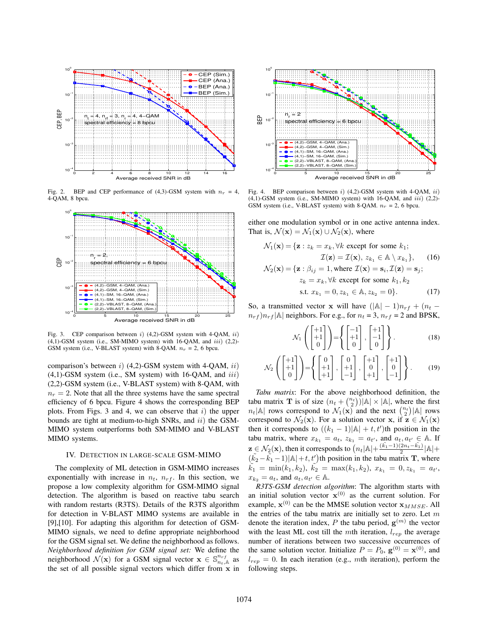

Fig. 2. BEP and CEP performance of (4,3)-GSM system with  $n_r = 4$ . 4-QAM, 8 bpcu.



Fig. 3. CEP comparison between i)  $(4,2)$ -GSM system with 4-QAM, ii)  $(4,1)$ -GSM system (i.e., SM-MIMO system) with 16-QAM, and  $iii)$  (2,2)-GSM system (i.e., V-BLAST system) with 8-QAM.  $n_r = 2$ , 6 bpcu.

comparison's between i) (4,2)-GSM system with 4-QAM, ii)  $(4,1)$ -GSM system (i.e., SM system) with 16-QAM, and  $iii$ ) (2,2)-GSM system (i.e., V-BLAST system) with 8-QAM, with  $n_r = 2$ . Note that all the three systems have the same spectral efficiency of 6 bpcu. Figure 4 shows the corresponding BEP plots. From Figs. 3 and 4, we can observe that  $i$ ) the upper bounds are tight at medium-to-high SNRs, and  $ii)$  the GSM-MIMO system outperforms both SM-MIMO and V-BLAST MIMO systems.

#### IV. DETECTION IN LARGE-SCALE GSM-MIMO

The complexity of ML detection in GSM-MIMO increases exponentially with increase in  $n_t$ ,  $n_{rf}$ . In this section, we propose a low complexity algorithm for GSM-MIMO signal detection. The algorithm is based on reactive tabu search with random restarts (R3TS). Details of the R3TS algorithm for detection in V-BLAST MIMO systems are available in [9],[10]. For adapting this algorithm for detection of GSM-MIMO signals, we need to define appropriate neighborhood for the GSM signal set. We define the neighborhood as follows. *Neighborhood definition for GSM signal set:* We define the neighborhood  $\mathcal{N}(\mathbf{x})$  for a GSM signal vector  $\mathbf{x} \in \mathbb{S}_{n_t,\mathbb{A}}^{n_{rf}}$  as the set of all possible signal vectors which differ from x in



Fig. 4. BEP comparison between i)  $(4,2)$ -GSM system with 4-OAM, ii)  $(4,1)$ -GSM system (i.e., SM-MIMO system) with 16-QAM, and  $iii)$  (2,2)-GSM system (i.e., V-BLAST system) with 8-QAM.  $n_r = 2$ , 6 bpcu.

either one modulation symbol or in one active antenna index. That is,  $\mathcal{N}(\mathbf{x}) = \mathcal{N}_1(\mathbf{x}) \cup \mathcal{N}_2(\mathbf{x})$ , where

$$
\mathcal{N}_1(\mathbf{x}) = \{ \mathbf{z} : z_k = x_k, \forall k \text{ except for some } k_1; \n\mathcal{I}(\mathbf{z}) = \mathcal{I}(\mathbf{x}), z_{k_1} \in \mathbb{A} \setminus x_{k_1} \}, \quad (16) \n\mathcal{N}_2(\mathbf{x}) = \{ \mathbf{z} : \beta_{ij} = 1, \text{where } \mathcal{I}(\mathbf{x}) = \mathbf{s}_i, \mathcal{I}(\mathbf{z}) = \mathbf{s}_j; \nz_k = x_k, \forall k \text{ except for some } k_1, k_2 \n\text{s.t. } x_{k_1} = 0, z_{k_1} \in \mathbb{A}, z_{k_2} = 0 \}. \quad (17)
$$

So, a transmitted vector x will have  $(|A| - 1)n_{rf} + (n_t$  $n_{rf}$ ) $n_{rf}$ |A| neighbors. For e.g., for  $n_t = 3$ ,  $n_{rf} = 2$  and BPSK,

$$
\mathcal{N}_1\left(\begin{bmatrix} +1\\+1\\0 \end{bmatrix}\right) = \left\{ \begin{bmatrix} -1\\+1\\0 \end{bmatrix}, \begin{bmatrix} +1\\-1\\0 \end{bmatrix} \right\}.
$$
 (18)

$$
\mathcal{N}_2\left(\begin{bmatrix} +1\\+1\\0 \end{bmatrix}\right) = \left\{ \begin{bmatrix} 0\\+1\\+1 \end{bmatrix}, \begin{bmatrix} 0\\+1\\-1 \end{bmatrix}, \begin{bmatrix} +1\\0\\+1 \end{bmatrix}, \begin{bmatrix} +1\\0\\-1 \end{bmatrix} \right\}. \tag{19}
$$

*Tabu matrix*: For the above neighborhood definition, the tabu matrix **T** is of size  $(n_t + \binom{n_t}{2}) |\mathbb{A}| \times |\mathbb{A}|$ , where the first  $n_t$ |A| rows correspond to  $\mathcal{N}_1(\mathbf{x})$  and the next  $\binom{n_t}{2}$ |A| rows correspond to  $\mathcal{N}_2(\mathbf{x})$ . For a solution vector x, if  $\mathbf{z} \in \mathcal{N}_1(\mathbf{x})$ then it corresponds to  $((k_1 - 1)|A| + t, t')$ th position in the tabu matrix, where  $x_{k_1} = a_t$ ,  $z_{k_1} = a_{t'}$ , and  $a_t, a_{t'} \in A$ . If  $\mathbf{z} \in \mathcal{N}_2(\mathbf{x})$ , then it corresponds to  $\left(n_t|\mathbb{A}| + \frac{(\tilde{k_1}-1)(2n_t-\tilde{k_1})}{2}|\mathbb{A}| + \cdots\right)$  $(\tilde{k}_2 - \tilde{k}_1 - 1)|A| + t$ ,  $t'$ ) th position in the tabu matrix **T**, where  $\tilde{k_{1}}\,=\,\min(k_{1},k_{2}),\;\tilde{k_{2}}\,=\,\max(k_{1},k_{2}),\;x_{k_{1}}\,=\,0,z_{k_{1}}\,=\,a_{t^{\prime}},$  $x_{k_2} = a_t$ , and  $a_t, a_{t'} \in \mathbb{A}$ .

*R3TS-GSM detection algorithm*: The algorithm starts with an initial solution vector  $x^{(0)}$  as the current solution. For example,  $\mathbf{x}^{(0)}$  can be the MMSE solution vector  $\mathbf{x}_{MMSE}$ . All the entries of the tabu matrix are initially set to zero. Let  $m$ denote the iteration index, P the tabu period,  $g^{(m)}$  the vector with the least ML cost till the mth iteration,  $l_{ren}$  the average number of iterations between two successive occurrences of the same solution vector. Initialize  $P = P_0$ ,  $\mathbf{g}^{(0)} = \mathbf{x}^{(0)}$ , and  $l_{rep} = 0$ . In each iteration (e.g., mth iteration), perform the following steps.